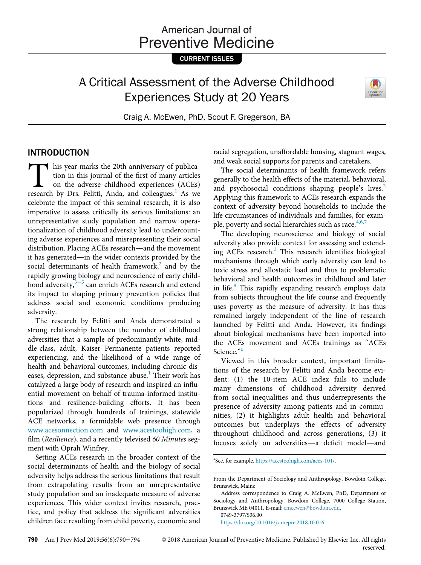# American Journal of **Preventive Medicine**

CURRENT ISSUES

# A Critical Assessment of the Adverse Childhood Experiences Study at 20 Years



Craig A. McEwen, PhD, Scout F. Gregerson, BA

#### INTRODUCTION

This year marks the 20th anniversary of publication in this journal of the first of many articles<br>on the adverse childhood experiences (ACEs)<br>research by Drs. Felitti. Anda. and colleagues.<sup>1</sup> As we tion in this journal of the first of many articles on the adverse childhood experiences (ACEs) research by Drs. Felitti, Anda, and colleagues.<sup>1</sup> As we celebrate the impact of this seminal research, it is also imperative to assess critically its serious limitations: an unrepresentative study population and narrow operationalization of childhood adversity lead to undercounting adverse experiences and misrepresenting their social distribution. Placing ACEs research—and the movement it has generated—in the wider contexts provided by the social determinants of health framework, $2$  and by the rapidly growing biology and neuroscience of early childhood adversity, $3^{-5}$  can enrich ACEs research and extend its impact to shaping primary prevention policies that address social and economic conditions producing adversity.

The research by Felitti and Anda demonstrated a strong relationship between the number of childhood adversities that a sample of predominantly white, middle-class, adult, Kaiser Permanente patients reported experiencing, and the likelihood of a wide range of health and behavioral outcomes, including chronic dis-eases, depression, and substance abuse.<sup>[1](#page-3-0)</sup> Their work has catalyzed a large body of research and inspired an influential movement on behalf of trauma-informed institutions and resilience-building efforts. It has been popularized through hundreds of trainings, statewide ACE networks, a formidable web presence through [www.acesonnection.com](http://www.acesonnection.com) and [www.acestoohigh.com](http://www.acestoohigh.com), a film (Resilience), and a recently televised 60 Minutes segment with Oprah Winfrey.

<span id="page-0-0"></span>Setting ACEs research in the broader context of the social determinants of health and the biology of social adversity helps address the serious limitations that result from extrapolating results from an unrepresentative study population and an inadequate measure of adverse experiences. This wider context invites research, practice, and policy that address the significant adversities children face resulting from child poverty, economic and racial segregation, unaffordable housing, stagnant wages, and weak social supports for parents and caretakers.

The social determinants of health framework refers generally to the health effects of the material, behavioral, and psychosocial conditions shaping people's lives.<sup>[2](#page-3-1)</sup> Applying this framework to ACEs research expands the context of adversity beyond households to include the life circumstances of individuals and families, for example, poverty and social hierarchies such as race. $4,6,7$ 

The developing neuroscience and biology of social adversity also provide context for assessing and extending ACEs research. $3$  This research identifies biological mechanisms through which early adversity can lead to toxic stress and allostatic load and thus to problematic behavioral and health outcomes in childhood and later in life.<sup>[8](#page-3-4)</sup> This rapidly expanding research employs data from subjects throughout the life course and frequently uses poverty as the measure of adversity. It has thus remained largely independent of the line of research launched by Felitti and Anda. However, its findings about biological mechanisms have been imported into the ACEs movement and ACEs trainings as "ACEs Science."<sup>[a](#page-0-0)</sup>

Viewed in this broader context, important limitations of the research by Felitti and Anda become evident: (1) the 10-item ACE index fails to include many dimensions of childhood adversity derived from social inequalities and thus underrepresents the presence of adversity among patients and in communities, (2) it highlights adult health and behavioral outcomes but underplays the effects of adversity throughout childhood and across generations, (3) it focuses solely on adversities—a deficit model—and

a See, for example, <https://acestoohigh.com/aces-101/>.

<https://doi.org/10.1016/j.amepre.2018.10.016>

From the Department of Sociology and Anthropology, Bowdoin College, Brunswick, Maine

Address correspondence to Craig A. McEwen, PhD, Department of Sociology and Anthropology, Bowdoin College, 7000 College Station, Brunswick ME 04011. E-mail: [cmcewen@bowdoin.edu](mailto:cmcewen@bowdoin.edu). 0749-3797/\$36.00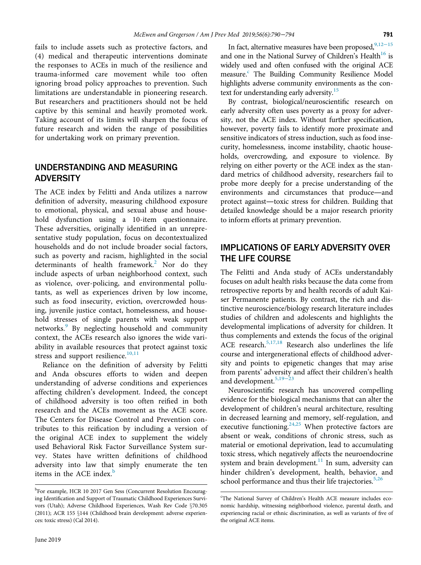fails to include assets such as protective factors, and (4) medical and therapeutic interventions dominate the responses to ACEs in much of the resilience and trauma-informed care movement while too often ignoring broad policy approaches to prevention. Such limitations are understandable in pioneering research. But researchers and practitioners should not be held captive by this seminal and heavily promoted work. Taking account of its limits will sharpen the focus of future research and widen the range of possibilities for undertaking work on primary prevention.

### UNDERSTANDING AND MEASURING ADVERSITY

The ACE index by Felitti and Anda utilizes a narrow definition of adversity, measuring childhood exposure to emotional, physical, and sexual abuse and household dysfunction using a 10-item questionnaire. These adversities, originally identified in an unrepresentative study population, focus on decontextualized households and do not include broader social factors, such as poverty and racism, highlighted in the social determinants of health framework.<sup>[2](#page-3-1)</sup> Nor do they include aspects of urban neighborhood context, such as violence, over-policing, and environmental pollutants, as well as experiences driven by low income, such as food insecurity, eviction, overcrowded housing, juvenile justice contact, homelessness, and household stresses of single parents with weak support networks.<sup>[9](#page-3-5)</sup> By neglecting household and community context, the ACEs research also ignores the wide variability in available resources that protect against toxic stress and support resilience.<sup>[10,11](#page-3-6)</sup>

Reliance on the definition of adversity by Felitti and Anda obscures efforts to widen and deepen understanding of adverse conditions and experiences affecting children's development. Indeed, the concept of childhood adversity is too often reified in both research and the ACEs movement as the ACE score. The Centers for Disease Control and Prevention contributes to this reification by including a version of the original ACE index to supplement the widely used Behavioral Risk Factor Surveillance System survey. States have written definitions of childhood adversity into law that simply enumerate the ten items in the ACE index. $<sup>b</sup>$  $<sup>b</sup>$  $<sup>b</sup>$ </sup>

In fact, alternative measures have been proposed,  $^{9,12-15}$ and one in the National Survey of Children's Health<sup>16</sup> is widely used and often confused with the original ACE measure.<sup>c</sup> The Building Community Resilience Model highlights adverse community environments as the context for understanding early adversity.<sup>15</sup>

By contrast, biological/neuroscientific research on early adversity often uses poverty as a proxy for adversity, not the ACE index. Without further specification, however, poverty fails to identify more proximate and sensitive indicators of stress induction, such as food insecurity, homelessness, income instability, chaotic households, overcrowding, and exposure to violence. By relying on either poverty or the ACE index as the standard metrics of childhood adversity, researchers fail to probe more deeply for a precise understanding of the environments and circumstances that produce—and protect against—toxic stress for children. Building that detailed knowledge should be a major research priority to inform efforts at primary prevention.

# IMPLICATIONS OF EARLY ADVERSITY OVER THE LIFE COURSE

The Felitti and Anda study of ACEs understandably focuses on adult health risks because the data come from retrospective reports by and health records of adult Kaiser Permanente patients. By contrast, the rich and distinctive neuroscience/biology research literature includes studies of children and adolescents and highlights the developmental implications of adversity for children. It thus complements and extends the focus of the original ACE research.<sup>[5,17,18](#page-3-9)</sup> Research also underlines the life course and intergenerational effects of childhood adversity and points to epigenetic changes that may arise from parents' adversity and affect their children's health and development.<sup>[5,19](#page-3-9)−23</sup>

Neuroscientific research has uncovered compelling evidence for the biological mechanisms that can alter the development of children's neural architecture, resulting in decreased learning and memory, self-regulation, and executive functioning. $24,25$  When protective factors are absent or weak, conditions of chronic stress, such as material or emotional deprivation, lead to accumulating toxic stress, which negatively affects the neuroendocrine system and brain development. $11$  In sum, adversity can hinder children's development, health, behavior, and school performance and thus their life trajectories.<sup>[5,26](#page-3-9)</sup>

<span id="page-1-1"></span><span id="page-1-0"></span><sup>&</sup>lt;sup>b</sup>For example, HCR 10 2017 Gen Sess (Concurrent Resolution Encouraging Identification and Support of Traumatic Childhood Experiences Survivors (Utah); Adverse Childhood Experiences, Wash Rev Code §70.305 (2011); ACR 155 §144 (Childhood brain development: adverse experiences: toxic stress) (Cal 2014).

<sup>&</sup>lt;sup>c</sup>The National Survey of Children's Health ACE measure includes economic hardship, witnessing neighborhood violence, parental death, and experiencing racial or ethnic discrimination, as well as variants of five of the original ACE items.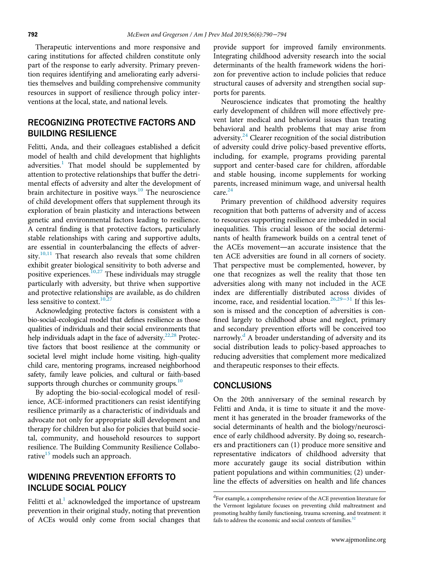Therapeutic interventions and more responsive and caring institutions for affected children constitute only part of the response to early adversity. Primary prevention requires identifying and ameliorating early adversities themselves and building comprehensive community resources in support of resilience through policy interventions at the local, state, and national levels.

# RECOGNIZING PROTECTIVE FACTORS AND BUILDING RESILIENCE

Felitti, Anda, and their colleagues established a deficit model of health and child development that highlights adversities.<sup>[1](#page-3-0)</sup> That model should be supplemented by attention to protective relationships that buffer the detrimental effects of adversity and alter the development of brain architecture in positive ways.<sup>10</sup> The neuroscience of child development offers that supplement through its exploration of brain plasticity and interactions between genetic and environmental factors leading to resilience. A central finding is that protective factors, particularly stable relationships with caring and supportive adults, are essential in counterbalancing the effects of adver-sity.<sup>[10,11](#page-3-6)</sup> That research also reveals that some children exhibit greater biological sensitivity to both adverse and positive experiences.[10,27](#page-3-6) These individuals may struggle particularly with adversity, but thrive when supportive and protective relationships are available, as do children less sensitive to context.<sup>10,2</sup>

Acknowledging protective factors is consistent with a bio-social-ecological model that defines resilience as those qualities of individuals and their social environments that help individuals adapt in the face of adversity.<sup>[22,28](#page-3-12)</sup> Protective factors that boost resilience at the community or societal level might include home visiting, high-quality child care, mentoring programs, increased neighborhood safety, family leave policies, and cultural or faith-based supports through churches or community groups. $10$ 

By adopting the bio-social-ecological model of resilience, ACE-informed practitioners can resist identifying resilience primarily as a characteristic of individuals and advocate not only for appropriate skill development and therapy for children but also for policies that build societal, community, and household resources to support resilience. The Building Community Resilience Collaborative<sup>15</sup> models such an approach.

## WIDENING PREVENTION EFFORTS TO INCLUDE SOCIAL POLICY

<span id="page-2-0"></span>Felitti et al. $<sup>1</sup>$  $<sup>1</sup>$  $<sup>1</sup>$  acknowledged the importance of upstream</sup> prevention in their original study, noting that prevention of ACEs would only come from social changes that

provide support for improved family environments. Integrating childhood adversity research into the social determinants of the health framework widens the horizon for preventive action to include policies that reduce structural causes of adversity and strengthen social supports for parents.

Neuroscience indicates that promoting the healthy early development of children will more effectively prevent later medical and behavioral issues than treating behavioral and health problems that may arise from adversity. $^{24}$  $^{24}$  $^{24}$  Clearer recognition of the social distribution of adversity could drive policy-based preventive efforts, including, for example, programs providing parental support and center-based care for children, affordable and stable housing, income supplements for working parents, increased minimum wage, and universal health care.<sup>24</sup>

Primary prevention of childhood adversity requires recognition that both patterns of adversity and of access to resources supporting resilience are imbedded in social inequalities. This crucial lesson of the social determinants of health framework builds on a central tenet of the ACEs movement—an accurate insistence that the ten ACE adversities are found in all corners of society. That perspective must be complemented, however, by one that recognizes as well the reality that those ten adversities along with many not included in the ACE index are differentially distributed across divides of income, race, and residential location.<sup>[26,29](#page-3-13)–31</sup> If this lesson is missed and the conception of adversities is confined largely to childhood abuse and neglect, primary and secondary prevention efforts will be conceived too narrowly.<sup>[d](#page-2-0)</sup> A broader understanding of adversity and its social distribution leads to policy-based approaches to reducing adversities that complement more medicalized and therapeutic responses to their effects.

#### **CONCLUSIONS**

On the 20th anniversary of the seminal research by Felitti and Anda, it is time to situate it and the movement it has generated in the broader frameworks of the social determinants of health and the biology/neuroscience of early childhood adversity. By doing so, researchers and practitioners can (1) produce more sensitive and representative indicators of childhood adversity that more accurately gauge its social distribution within patient populations and within communities; (2) underline the effects of adversities on health and life chances

<sup>&</sup>lt;sup>d</sup>For example, a comprehensive review of the ACE prevention literature for the Vermont legislature focuses on preventing child maltreatment and promoting healthy family functioning, trauma screening, and treatment: it fails to address the economic and social contexts of families.<sup>3</sup>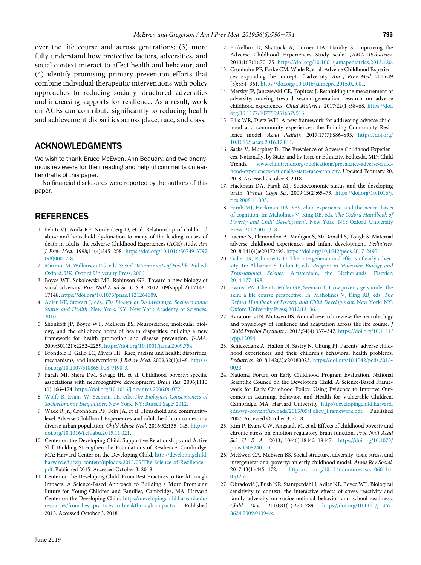over the life course and across generations; (3) more fully understand how protective factors, adversities, and social context interact to affect health and behavior; and (4) identify promising primary prevention efforts that combine individual therapeutic interventions with policy approaches to reducing socially structured adversities and increasing supports for resilience. As a result, work on ACEs can contribute significantly to reducing health and achievement disparities across place, race, and class.

#### <span id="page-3-8"></span><span id="page-3-7"></span>ACKNOWLEDGMENTS

We wish to thank Bruce McEwen, Ann Beaudry, and two anonymous reviewers for their reading and helpful comments on earlier drafts of this paper.

No financial disclosures were reported by the authors of this paper.

### **REFERENCES**

- <span id="page-3-0"></span>1. Felitti VJ, Anda RF, Nordenberg D, et al. Relationship of childhood abuse and household dysfunction to many of the leading causes of death in adults: the Adverse Childhood Experiences (ACE) study. Am J Prev Med. 1998;14(4):245–258. [https://doi.org/10.1016/S0749-3797](https://doi.org/10.1016/S0749-3797(98)00017-8) [\(98\)00017-8.](https://doi.org/10.1016/S0749-3797(98)00017-8)
- <span id="page-3-1"></span>2. [Marmot M, Wilkinson RG, eds.](http://refhub.elsevier.com/S0749-3797(18)32358-4/sbref0002) Social Determinants of Health. 2nd ed. [Oxford, UK: Oxford University Press; 2006.](http://refhub.elsevier.com/S0749-3797(18)32358-4/sbref0002)
- <span id="page-3-2"></span>3. Boyce WT, Sokolowski MB, Robinson GE. Toward a new biology of social adversity. Proc Natl Acad Sci U S A. 2012;109(suppl 2):17143– 17148. [https://doi.org/10.1073/pnas.1121264109.](https://doi.org/10.1073/pnas.1121264109)
- <span id="page-3-3"></span>4. Adler NE, Stewart J, eds. [The Biology of Disadvantage: Socioeconomic](http://refhub.elsevier.com/S0749-3797(18)32358-4/sbref0004) Status and Health[. New York, NY: New York Academy of Sciences;](http://refhub.elsevier.com/S0749-3797(18)32358-4/sbref0004) [2010.](http://refhub.elsevier.com/S0749-3797(18)32358-4/sbref0004)
- <span id="page-3-12"></span><span id="page-3-9"></span>5. Shonkoff JP, Boyce WT, McEwen BS. Neuroscience, molecular biology, and the childhood roots of health disparities: building a new framework for health promotion and disease prevention. JAMA. 2009;301(21):2252–2259. <https://doi.org/10.1001/jama.2009.754>.
- 6. Brondolo E, Gallo LC, Myers HF. Race, racism and health: disparities, mechanisms, and interventions. J Behav Med. 2009;32(1):1–8. [https://](https://doi.org/10.1007/s10865-008-9190-3) [doi.org/10.1007/s10865-008-9190-3](https://doi.org/10.1007/s10865-008-9190-3).
- <span id="page-3-10"></span>7. Farah MJ, Shera DM, Savage JH, et al. Childhood poverty: specific associations with neurocognitive development. Brain Res. 2006;1110 (1):166–174. [https://doi.org/10.1016/j.brainres.2006.06.072.](https://doi.org/10.1016/j.brainres.2006.06.072)
- <span id="page-3-4"></span>8. [Wolfe B, Evans W, Seeman TE, eds.](http://refhub.elsevier.com/S0749-3797(18)32358-4/sbref0008) The Biological Consequences of Socioeconomic Inequalities[. New York, NY: Russell Sage; 2012.](http://refhub.elsevier.com/S0749-3797(18)32358-4/sbref0008)
- <span id="page-3-5"></span>9. Wade R Jr., Cronholm PF, Fein JA. et al. Household and communitylevel Adverse Childhood Experiences and adult health outcomes in a diverse urban population. Child Abuse Negl. 2016;52:135–145. [https://](https://doi.org/10.1016/j.chiabu.2015.11.021) [doi.org/10.1016/j.chiabu.2015.11.021.](https://doi.org/10.1016/j.chiabu.2015.11.021)
- <span id="page-3-13"></span><span id="page-3-6"></span>10. Center on the Developing Child. Supportive Relationships and Active Skill-Building Strengthen the Foundations of Resilience. Cambridge, MA: Harvard Center on the Developing Child. [http://developingchild.](http://developingchild.harvard.edu/wp-content/uploads/2015/05/The-Science-of-Resilience.pdf) [harvard.edu/wp-content/uploads/2015/05/The-Science-of-Resilience.](http://developingchild.harvard.edu/wp-content/uploads/2015/05/The-Science-of-Resilience.pdf) [pdf.](http://developingchild.harvard.edu/wp-content/uploads/2015/05/The-Science-of-Resilience.pdf) Published 2015. Accessed October 3, 2018.
- <span id="page-3-11"></span>11. Center on the Developing Child. From Best Practices to Breakthrough Impacts: A Science-Based Approach to Building a More Promising Future for Young Children and Families, Cambridge, MA: Harvard Center on the Developing Child. [https://developingchild.harvard.edu/](https://developingchild.harvard.edu/resources/from-best-practices-to-breakthrough-impacts/) [resources/from-best-practices-to-breakthrough-impacts/](https://developingchild.harvard.edu/resources/from-best-practices-to-breakthrough-impacts/). Published 2015. Accessed October 3, 2018.
- 12. Finkelhor D, Shattuck A, Turner HA, Hamby S. Improving the Adverse Childhood Experiences Study scale. JAMA Pediatrics. 2013;167(1):70–75. <https://doi.org/10.1001/jamapediatrics.2013.420>.
- 13. Cronholm PF, Forke CM, Wade R, et al. Adverse Childhood Experiences: expanding the concept of adversity. Am J Prev Med. 2015;49 (3):354–361. [https://doi.org/10.1016/j.amepre.2015.02.001.](https://doi.org/10.1016/j.amepre.2015.02.001)
- 14. Mersky JP, Janczewski CE, Topitzes J. Rethinking the measurement of adversity: moving toward second-generation research on adverse childhood experiences. Child Maltreat. 2017;22(1):58–68. [https://doi.](https://doi.org/10.1177/1077559516679513) [org/10.1177/1077559516679513](https://doi.org/10.1177/1077559516679513).
- 15. Ellis WR, Dietz WH. A new framework for addressing adverse childhood and community experiences: the Building Community Resilience model. Acad Pediatr. 2017;17(7):S86–S93. [https://doi.org/](https://doi.org/10.1016/j.acap.2016.12.011) [10.1016/j.acap.2016.12.011.](https://doi.org/10.1016/j.acap.2016.12.011)
- 16. Sacks V, Murphey D. The Prevalence of Adverse Childhood Experiences, Nationally, by State, and by Race or Ethnicity. Bethesda, MD: Child Trends. [www.childtrends.org/publications/prevalence-adverse-child](http://www.childtrends.org/publications/prevalence-adverse-childhood-experiences-nationally-state-race-ethnicity)[hood-experiences-nationally-state-race-ethnicity](http://www.childtrends.org/publications/prevalence-adverse-childhood-experiences-nationally-state-race-ethnicity). Updated February 20, 2018. Accessed October 3, 2018.
- 17. Hackman DA, Farah MJ. Socioeconomic status and the developing brain. Trends Cogn Sci. 2009;13(2):65–73. [https://doi.org/10.1016/j.](https://doi.org/10.1016/j.tics.2008.11.003) [tics.2008.11.003](https://doi.org/10.1016/j.tics.2008.11.003).
- 18. [Farah MJ, Hackman DA. SES, child experience, and the neural bases](http://refhub.elsevier.com/S0749-3797(18)32358-4/sbref0018) [of cognition. In: Maholmes V, King RB, eds.](http://refhub.elsevier.com/S0749-3797(18)32358-4/sbref0018) The Oxford Handbook of Poverty and Child Development[. New York, NY: Oxford University](http://refhub.elsevier.com/S0749-3797(18)32358-4/sbref0018) [Press; 2012:307](http://refhub.elsevier.com/S0749-3797(18)32358-4/sbref0018)–318.
- 19. Racine N, Plamondon A, Madigan S, McDonald S, Tough S. Maternal adverse childhood experiences and infant development. Pediatrics. 2018;141(4):e20172495. [https://doi.org/10.1542/peds.2017-2495.](https://doi.org/10.1542/peds.2017-2495)
- 20. [Galler JR, Rabinowitz D. The intergenerational effects of early adver](http://refhub.elsevier.com/S0749-3797(18)32358-4/sbref0020)[sity. In: Akbarian S, Lubin F, eds.](http://refhub.elsevier.com/S0749-3797(18)32358-4/sbref0020) Progress in Molecular Biology and Translational Science[. Amsterdam, the Netherlands: Elsevier;](http://refhub.elsevier.com/S0749-3797(18)32358-4/sbref0020) [2014:177](http://refhub.elsevier.com/S0749-3797(18)32358-4/sbref0020)–198.
- 21. [Evans GW, Chen E, Miller GE, Seeman T. How poverty gets under the](http://refhub.elsevier.com/S0749-3797(18)32358-4/sbref0021) [skin: a life course perspective. In: Maholmes V, King RB, eds.](http://refhub.elsevier.com/S0749-3797(18)32358-4/sbref0021) The [Oxford Handbook of Poverty and Child Development](http://refhub.elsevier.com/S0749-3797(18)32358-4/sbref0021). New York, NY: [Oxford University Press; 2012:13](http://refhub.elsevier.com/S0749-3797(18)32358-4/sbref0021)–36.
- 22. Karatoreos IN, McEwen BS. Annual research review: the neurobiology and physiology of resilience and adaptation across the life course. J Child Psychol Psychiatry. 2013;54(4):337–347. [https://doi.org/10.1111/](https://doi.org/10.1111/jcpp.12054) [jcpp.12054.](https://doi.org/10.1111/jcpp.12054)
- 23. Schickedanz A, Halfon N, Sastry N, Chung PJ. Parents' adverse childhood experiences and their children's behavioral health problems. Pediatrics. 2018;142(2):e20180023. [https://doi.org/10.1542/peds.2018-](https://doi.org/10.1542/peds.2018-0023) [0023](https://doi.org/10.1542/peds.2018-0023).
- 24. National Forum on Early Childhood Program Evaluation, National Scientific Council on the Developing Child. A Science-Based Framework for Early Childhood Policy: Using Evidence to Improve Outcomes in Learning, Behavior, and Health for Vulnerable Children. Cambridge, MA: Harvard University. [http://developingchild.harvard.](http://developingchild.harvard.edu/wp-content/uploads/2015/05/Policy_Framework.pdf) [edu/wp-content/uploads/2015/05/Policy\\_Framework.pdf.](http://developingchild.harvard.edu/wp-content/uploads/2015/05/Policy_Framework.pdf) Published 2007. Accessed October 3, 2018.
- 25. Kim P, Evans GW, Angstadt M, et al. Effects of childhood poverty and chronic stress on emotion regulatory brain function. Proc Natl Acad Sci U S A. 2013;110(46):18442–18447. [https://doi.org/10.1073/](https://doi.org/10.1073/pnas.1308240110) [pnas.1308240110.](https://doi.org/10.1073/pnas.1308240110)
- 26. McEwen CA, McEwen BS. Social structure, adversity, toxic stress, and intergenerational poverty: an early childhood model. Annu Rev Sociol. 2017;43(1):445–472. [https://doi.org/10.1146/annurev-soc-060116-](https://doi.org/10.1146/annurev-soc-060116-053252) [053252](https://doi.org/10.1146/annurev-soc-060116-053252).
- 27. Obradovic J, Bush NR, Stamperdahl J, Adler NE, Boyce WT. Biological sensitivity to context: the interactive effects of stress reactivity and family adversity on socioemotional behavior and school readiness. Child Dev. 2010;81(1):270–289. [https://doi.org/10.1111/j.1467-](https://doi.org/10.1111/j.1467-8624.2009.01394.x) [8624.2009.01394.x.](https://doi.org/10.1111/j.1467-8624.2009.01394.x)